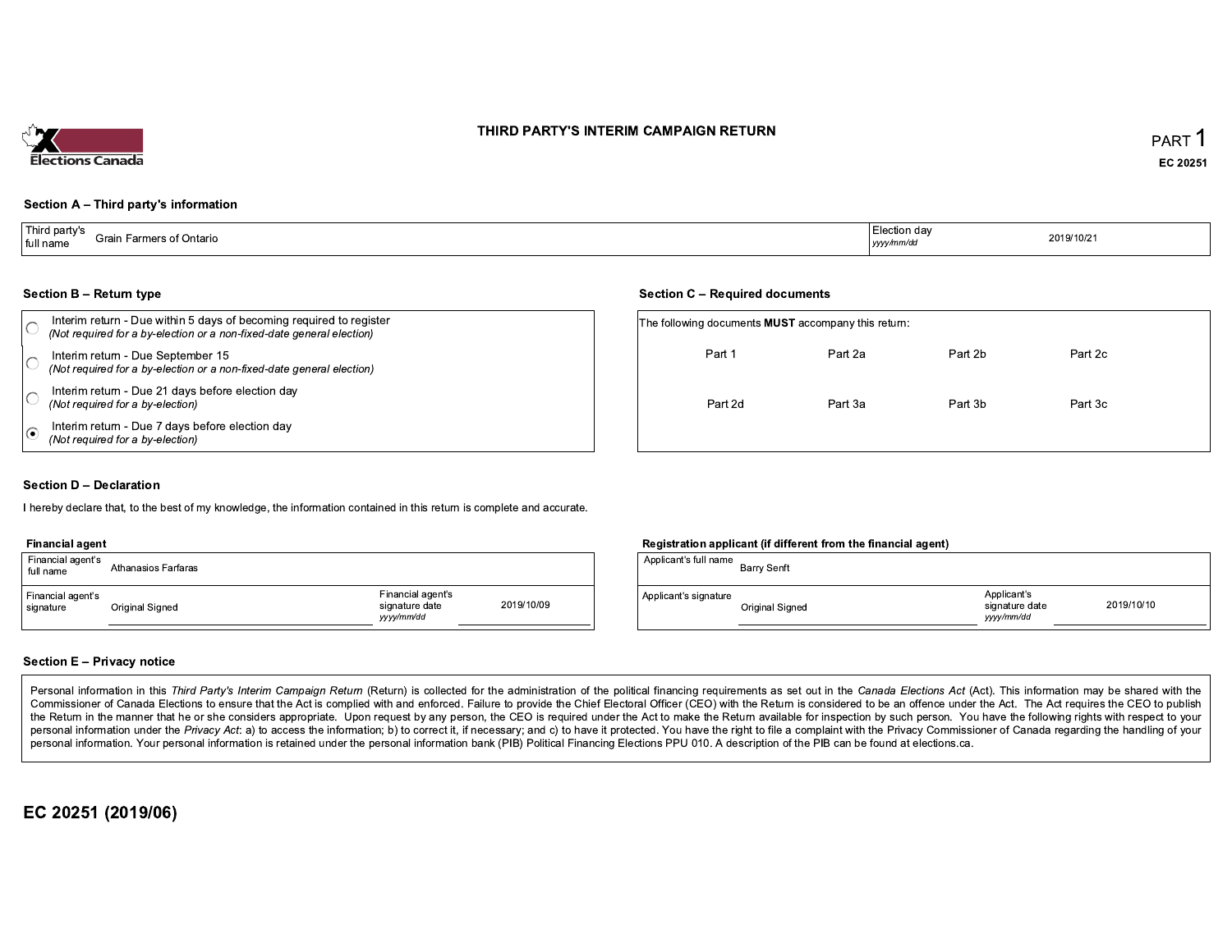### THIRD PARTY'S INTERIM CAMPAIGN RETURN



#### Section A - Third party's information

| l Thir<br>party's<br>Grain Farmers of Ontario<br>full name | Election dav<br>yyyy/mm/da | 2019/10/2<br>the contract of the contract of the |
|------------------------------------------------------------|----------------------------|--------------------------------------------------|
|------------------------------------------------------------|----------------------------|--------------------------------------------------|

#### **Section B - Return type**

| Interim return - Due within 5 days of becoming required to register<br>(Not required for a by-election or a non-fixed-date general election) |         | The following documents <b>MUST</b> accompany this return: |         |         |  |  |  |  |
|----------------------------------------------------------------------------------------------------------------------------------------------|---------|------------------------------------------------------------|---------|---------|--|--|--|--|
| Interim return - Due September 15<br>(Not required for a by-election or a non-fixed-date general election)                                   | Part 1  | Part 2a                                                    | Part 2b | Part 2c |  |  |  |  |
| Interim return - Due 21 days before election day<br>(Not required for a by-election)                                                         | Part 2d | Part 3a                                                    | Part 3b | Part 3c |  |  |  |  |
| Interim return - Due 7 days before election day<br>(Not required for a by-election)                                                          |         |                                                            |         |         |  |  |  |  |

#### **Section D - Declaration**

I hereby declare that, to the best of my knowledge, the information contained in this return is complete and accurate.

#### **Financial agent**

| Financial agent's<br>full name | Athanasios Farfaras |                                                  |            |
|--------------------------------|---------------------|--------------------------------------------------|------------|
| Financial agent's<br>signature | Original Signed     | Financial agent's<br>signature date<br>vyy/mm/dd | 2019/10/09 |

#### Registration applicant (if different from the financial agent)

| Applicant's full name | Barry Senft     |                                            |            |
|-----------------------|-----------------|--------------------------------------------|------------|
| Applicant's signature | Original Signed | Applicant's<br>signature date<br>vyy/mm/dd | 2019/10/10 |

#### **Section E - Privacy notice**

Personal information in this Third Party's Interim Campaign Return (Return) is collected for the administration of the political financing requirements as set out in the Canada Elections Act (Act). This information may be Commissioner of Canada Elections to ensure that the Act is complied with and enforced. Failure to provide the Chief Electoral Officer (CEO) with the Return is considered to be an offence under the Act. The Act requires the the Return in the manner that he or she considers appropriate. Upon request by any person, the CEO is required under the Act to make the Return available for inspection by such person. You have the following rights with re personal information under the Privacy Act: a) to access the information; b) to correct it, if necessary; and c) to have it protected. You have the right to file a complaint with the Privacy Commissioner of Canada regardin personal information. Your personal information is retained under the personal information bank (PIB) Political Financing Elections PPU 010. A description of the PIB can be found at elections.ca.

EC 20251 (2019/06)

#### **Section C - Required documents**

| The following documents <b>MUST</b> accompany this return: |         |         |         |  |
|------------------------------------------------------------|---------|---------|---------|--|
| Part 1                                                     | Part 2a | Part 2b | Part 2c |  |
| Part 2d                                                    | Part 3a | Part 3b | Part 3c |  |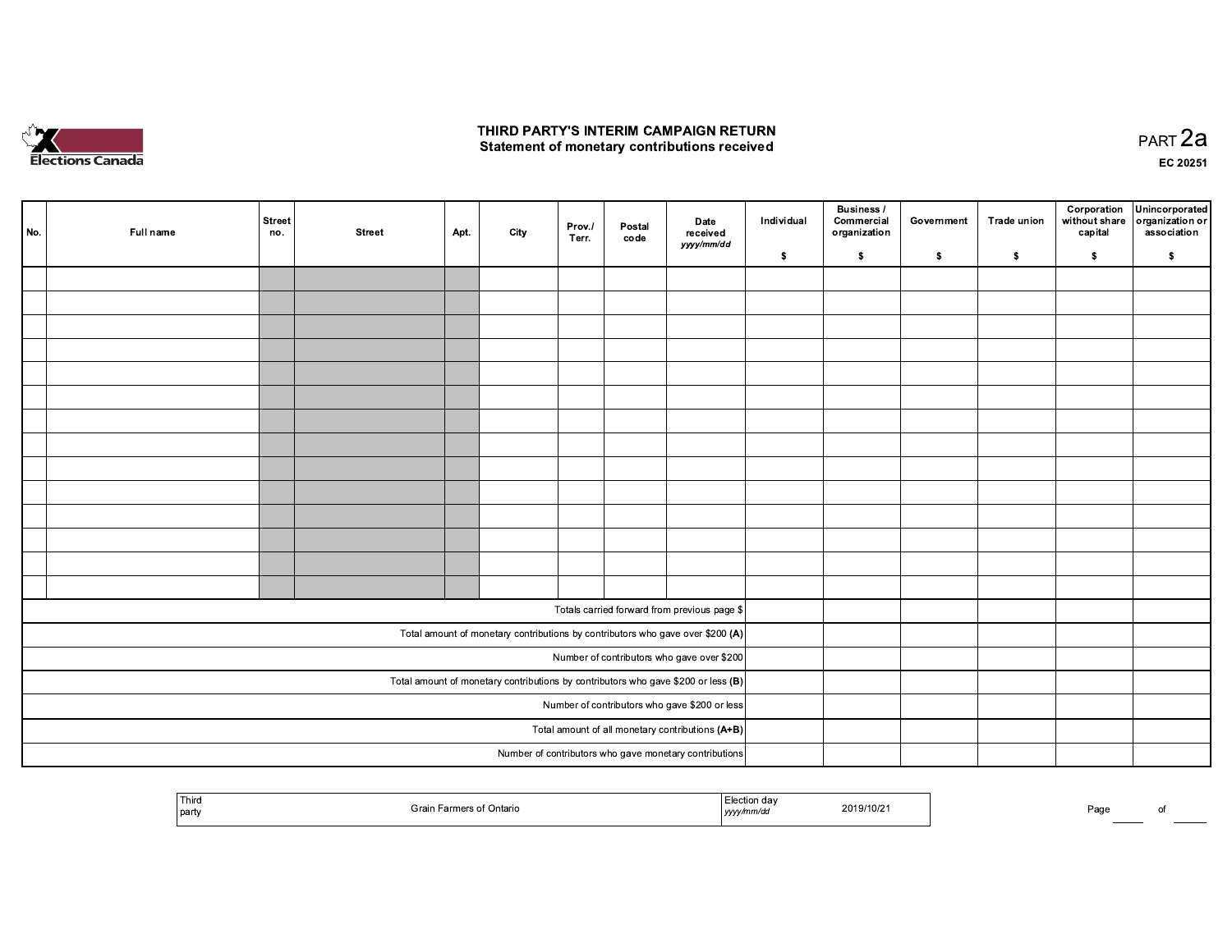

## THIRD PARTY'S INTERIM CAMPAIGN RETURN Statement of monetary contributions received

PART 2a EC 20251

| No.                                                                                 | Full name | Street<br>no. | <b>Street</b> | Apt. | City | Prov./<br>Terr. | Postal<br>code | Date<br>received<br>yyyy/mm/dd                                                 | Individual | Business /<br>Commercial<br>organization | Government | <b>Trade union</b> | Corporation<br>without share<br>capital | Unincorporated<br>organization or<br>association |
|-------------------------------------------------------------------------------------|-----------|---------------|---------------|------|------|-----------------|----------------|--------------------------------------------------------------------------------|------------|------------------------------------------|------------|--------------------|-----------------------------------------|--------------------------------------------------|
|                                                                                     |           |               |               |      |      |                 |                |                                                                                | \$         | $\bullet$                                | $\bullet$  | \$                 | $\sqrt{2}$                              | \$                                               |
|                                                                                     |           |               |               |      |      |                 |                |                                                                                |            |                                          |            |                    |                                         |                                                  |
|                                                                                     |           |               |               |      |      |                 |                |                                                                                |            |                                          |            |                    |                                         |                                                  |
|                                                                                     |           |               |               |      |      |                 |                |                                                                                |            |                                          |            |                    |                                         |                                                  |
|                                                                                     |           |               |               |      |      |                 |                |                                                                                |            |                                          |            |                    |                                         |                                                  |
|                                                                                     |           |               |               |      |      |                 |                |                                                                                |            |                                          |            |                    |                                         |                                                  |
|                                                                                     |           |               |               |      |      |                 |                |                                                                                |            |                                          |            |                    |                                         |                                                  |
|                                                                                     |           |               |               |      |      |                 |                |                                                                                |            |                                          |            |                    |                                         |                                                  |
|                                                                                     |           |               |               |      |      |                 |                |                                                                                |            |                                          |            |                    |                                         |                                                  |
|                                                                                     |           |               |               |      |      |                 |                |                                                                                |            |                                          |            |                    |                                         |                                                  |
|                                                                                     |           |               |               |      |      |                 |                |                                                                                |            |                                          |            |                    |                                         |                                                  |
|                                                                                     |           |               |               |      |      |                 |                |                                                                                |            |                                          |            |                    |                                         |                                                  |
|                                                                                     |           |               |               |      |      |                 |                |                                                                                |            |                                          |            |                    |                                         |                                                  |
|                                                                                     |           |               |               |      |      |                 |                |                                                                                |            |                                          |            |                    |                                         |                                                  |
|                                                                                     |           |               |               |      |      |                 |                |                                                                                |            |                                          |            |                    |                                         |                                                  |
|                                                                                     |           |               |               |      |      |                 |                | Totals carried forward from previous page \$                                   |            |                                          |            |                    |                                         |                                                  |
|                                                                                     |           |               |               |      |      |                 |                | Total amount of monetary contributions by contributors who gave over \$200 (A) |            |                                          |            |                    |                                         |                                                  |
|                                                                                     |           |               |               |      |      |                 |                | Number of contributors who gave over \$200                                     |            |                                          |            |                    |                                         |                                                  |
| Total amount of monetary contributions by contributors who gave \$200 or less $(B)$ |           |               |               |      |      |                 |                |                                                                                |            |                                          |            |                    |                                         |                                                  |
| Number of contributors who gave \$200 or less                                       |           |               |               |      |      |                 |                |                                                                                |            |                                          |            |                    |                                         |                                                  |
|                                                                                     |           |               |               |      |      |                 |                | Total amount of all monetary contributions $(A+B)$                             |            |                                          |            |                    |                                         |                                                  |
|                                                                                     |           |               |               |      |      |                 |                | Number of contributors who gave monetary contributions                         |            |                                          |            |                    |                                         |                                                  |

| Third<br>l party | Ontario<br>uall | . uc<br>.nvaa<br>, yyyy | $\sim$<br>I∪Z | Page |  |
|------------------|-----------------|-------------------------|---------------|------|--|
|                  |                 |                         |               |      |  |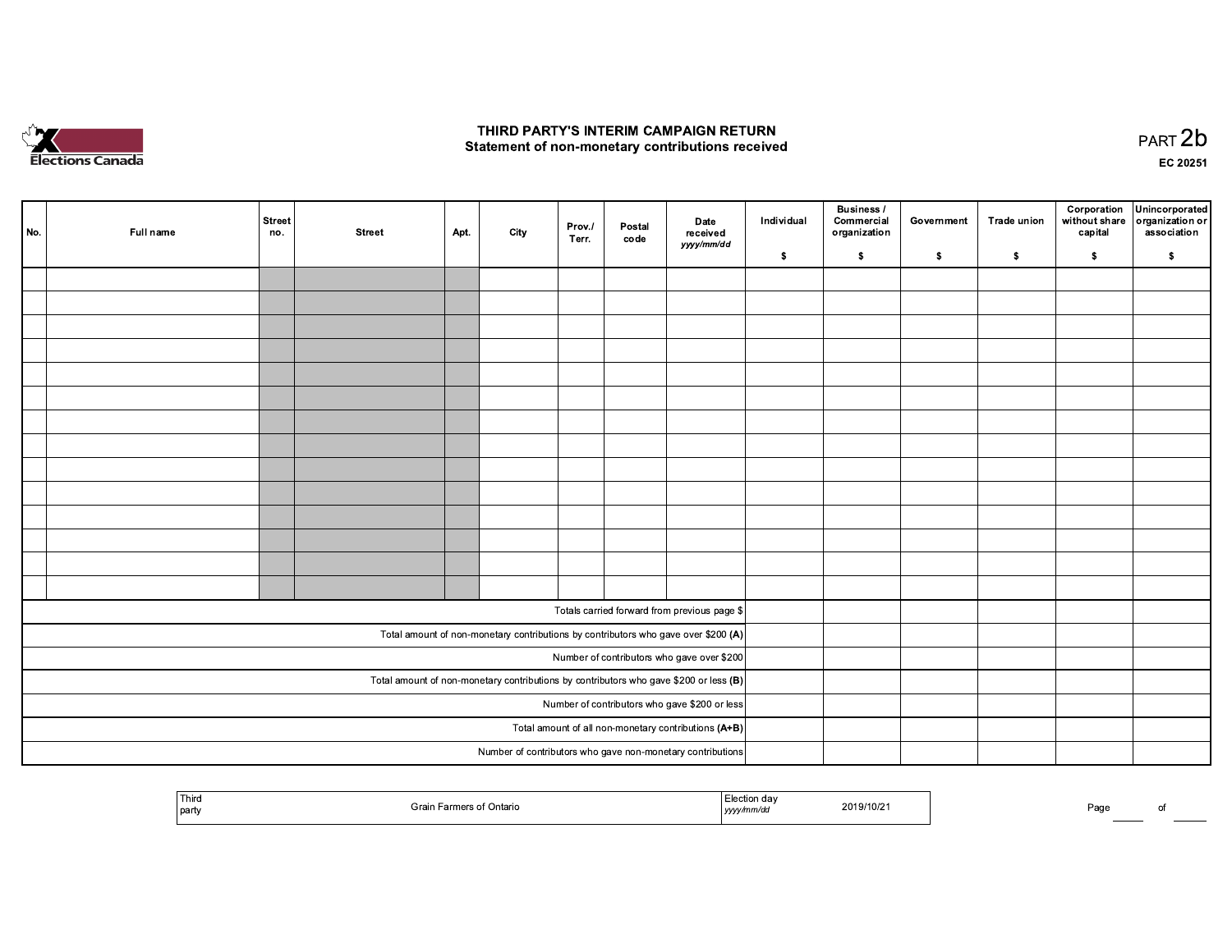

## THIRD PARTY'S INTERIM CAMPAIGN RETURN Statement of non-monetary contributions received

PART 2b EC 20251

| No. | Full name | <b>Street</b><br>no. | <b>Street</b> | Apt. | City | Prov./<br>Terr. | Postal<br>code | <b>Date</b><br>received<br>yyyy/mm/dd                                                   | Individual | <b>Business /</b><br>Commercial<br>organization | Government | <b>Trade union</b> | Corporation<br>without share<br>capital | Unincorporated<br>organization or<br>association |
|-----|-----------|----------------------|---------------|------|------|-----------------|----------------|-----------------------------------------------------------------------------------------|------------|-------------------------------------------------|------------|--------------------|-----------------------------------------|--------------------------------------------------|
|     |           |                      |               |      |      |                 |                |                                                                                         | \$         | \$                                              | \$         | \$                 | \$                                      | $\sqrt{2}$                                       |
|     |           |                      |               |      |      |                 |                |                                                                                         |            |                                                 |            |                    |                                         |                                                  |
|     |           |                      |               |      |      |                 |                |                                                                                         |            |                                                 |            |                    |                                         |                                                  |
|     |           |                      |               |      |      |                 |                |                                                                                         |            |                                                 |            |                    |                                         |                                                  |
|     |           |                      |               |      |      |                 |                |                                                                                         |            |                                                 |            |                    |                                         |                                                  |
|     |           |                      |               |      |      |                 |                |                                                                                         |            |                                                 |            |                    |                                         |                                                  |
|     |           |                      |               |      |      |                 |                |                                                                                         |            |                                                 |            |                    |                                         |                                                  |
|     |           |                      |               |      |      |                 |                |                                                                                         |            |                                                 |            |                    |                                         |                                                  |
|     |           |                      |               |      |      |                 |                |                                                                                         |            |                                                 |            |                    |                                         |                                                  |
|     |           |                      |               |      |      |                 |                |                                                                                         |            |                                                 |            |                    |                                         |                                                  |
|     |           |                      |               |      |      |                 |                |                                                                                         |            |                                                 |            |                    |                                         |                                                  |
|     |           |                      |               |      |      |                 |                |                                                                                         |            |                                                 |            |                    |                                         |                                                  |
|     |           |                      |               |      |      |                 |                |                                                                                         |            |                                                 |            |                    |                                         |                                                  |
|     |           |                      |               |      |      |                 |                |                                                                                         |            |                                                 |            |                    |                                         |                                                  |
|     |           |                      |               |      |      |                 |                |                                                                                         |            |                                                 |            |                    |                                         |                                                  |
|     |           |                      |               |      |      |                 |                | Totals carried forward from previous page \$                                            |            |                                                 |            |                    |                                         |                                                  |
|     |           |                      |               |      |      |                 |                | Total amount of non-monetary contributions by contributors who gave over \$200 (A)      |            |                                                 |            |                    |                                         |                                                  |
|     |           |                      |               |      |      |                 |                | Number of contributors who gave over \$200                                              |            |                                                 |            |                    |                                         |                                                  |
|     |           |                      |               |      |      |                 |                | Total amount of non-monetary contributions by contributors who gave \$200 or less $(B)$ |            |                                                 |            |                    |                                         |                                                  |
|     |           |                      |               |      |      |                 |                | Number of contributors who gave \$200 or less                                           |            |                                                 |            |                    |                                         |                                                  |
|     |           |                      |               |      |      |                 |                | Total amount of all non-monetary contributions (A+B)                                    |            |                                                 |            |                    |                                         |                                                  |
|     |           |                      |               |      |      |                 |                | Number of contributors who gave non-monetary contributions                              |            |                                                 |            |                    |                                         |                                                  |

| ' Third<br>2019/10/21<br>s of Ontarie<br>$T$ rate<br>party<br>,,,,, | Pag |  |
|---------------------------------------------------------------------|-----|--|
|---------------------------------------------------------------------|-----|--|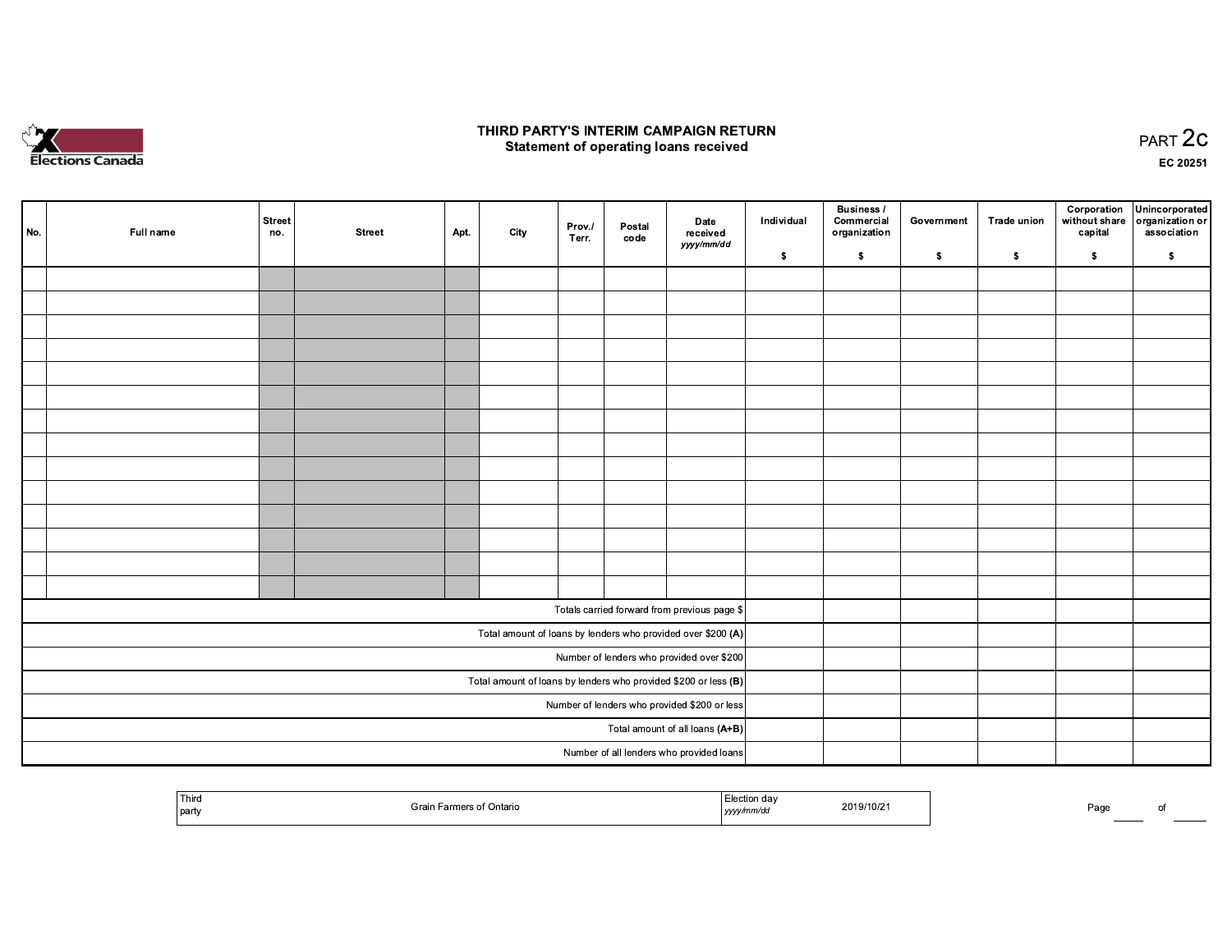

## THIRD PARTY'S INTERIM CAMPAIGN RETURN **Statement of operating loans received**

PART 2C EC 20251

|                                                                   | No. | Full name | Street<br>no. | <b>Street</b> | Apt. | City | Prov./<br>Terr. | Postal<br>code | Date<br>received<br>yyyy/mm/dd                               | Individual | Business /<br>Commercial<br>organization | Government | <b>Trade union</b> | capital | Corporation Unincorporated<br>without share   organization or<br>association |
|-------------------------------------------------------------------|-----|-----------|---------------|---------------|------|------|-----------------|----------------|--------------------------------------------------------------|------------|------------------------------------------|------------|--------------------|---------|------------------------------------------------------------------------------|
|                                                                   |     |           |               |               |      |      |                 |                |                                                              | $\sqrt{2}$ | $\bullet$                                | $\sqrt{2}$ | \$                 | \$      | $\,$                                                                         |
|                                                                   |     |           |               |               |      |      |                 |                |                                                              |            |                                          |            |                    |         |                                                                              |
|                                                                   |     |           |               |               |      |      |                 |                |                                                              |            |                                          |            |                    |         |                                                                              |
|                                                                   |     |           |               |               |      |      |                 |                |                                                              |            |                                          |            |                    |         |                                                                              |
|                                                                   |     |           |               |               |      |      |                 |                |                                                              |            |                                          |            |                    |         |                                                                              |
|                                                                   |     |           |               |               |      |      |                 |                |                                                              |            |                                          |            |                    |         |                                                                              |
|                                                                   |     |           |               |               |      |      |                 |                |                                                              |            |                                          |            |                    |         |                                                                              |
|                                                                   |     |           |               |               |      |      |                 |                |                                                              |            |                                          |            |                    |         |                                                                              |
|                                                                   |     |           |               |               |      |      |                 |                |                                                              |            |                                          |            |                    |         |                                                                              |
|                                                                   |     |           |               |               |      |      |                 |                |                                                              |            |                                          |            |                    |         |                                                                              |
|                                                                   |     |           |               |               |      |      |                 |                |                                                              |            |                                          |            |                    |         |                                                                              |
|                                                                   |     |           |               |               |      |      |                 |                |                                                              |            |                                          |            |                    |         |                                                                              |
|                                                                   |     |           |               |               |      |      |                 |                |                                                              |            |                                          |            |                    |         |                                                                              |
|                                                                   |     |           |               |               |      |      |                 |                |                                                              |            |                                          |            |                    |         |                                                                              |
|                                                                   |     |           |               |               |      |      |                 |                |                                                              |            |                                          |            |                    |         |                                                                              |
|                                                                   |     |           |               |               |      |      |                 |                | Totals carried forward from previous page \$                 |            |                                          |            |                    |         |                                                                              |
|                                                                   |     |           |               |               |      |      |                 |                | Total amount of loans by lenders who provided over \$200 (A) |            |                                          |            |                    |         |                                                                              |
|                                                                   |     |           |               |               |      |      |                 |                | Number of lenders who provided over \$200                    |            |                                          |            |                    |         |                                                                              |
| Total amount of loans by lenders who provided \$200 or less $(B)$ |     |           |               |               |      |      |                 |                |                                                              |            |                                          |            |                    |         |                                                                              |
| Number of lenders who provided \$200 or less                      |     |           |               |               |      |      |                 |                |                                                              |            |                                          |            |                    |         |                                                                              |
|                                                                   |     |           |               |               |      |      |                 |                | Total amount of all loans (A+B)                              |            |                                          |            |                    |         |                                                                              |
|                                                                   |     |           |               |               |      |      |                 |                | Number of all lenders who provided loans                     |            |                                          |            |                    |         |                                                                              |

| Third<br>on dav<br>⊏неспог<br>2019/10/21<br>¯੧rmers of Ontario<br>÷rai<br>.<br>party<br>ווזו<br>yyyy | ⊃aq∈<br>ി |
|------------------------------------------------------------------------------------------------------|-----------|
|------------------------------------------------------------------------------------------------------|-----------|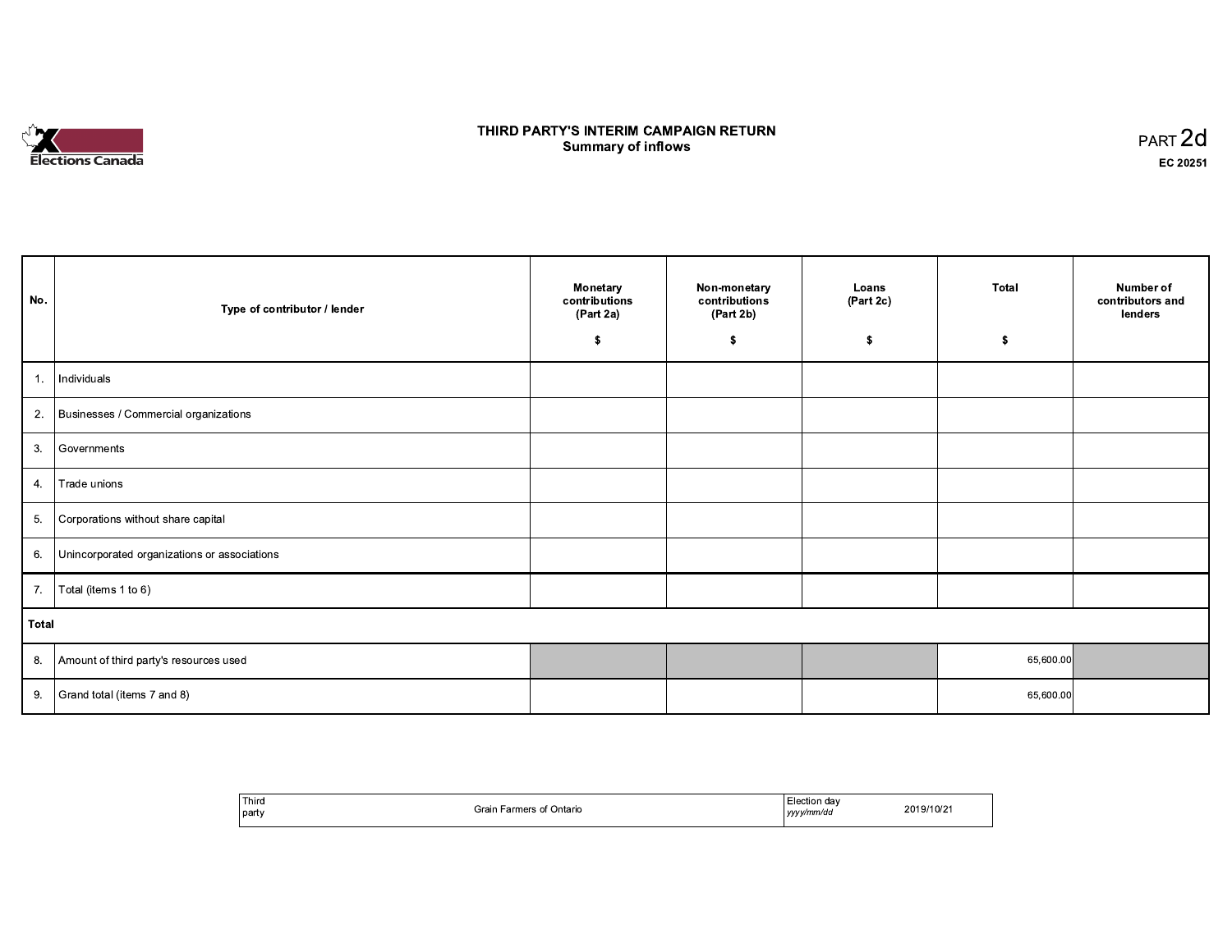# Elections Canada

## THIRD PARTY'S INTERIM CAMPAIGN RETURN **Summary of inflows**

| $PART$ 2d |
|-----------|
| EC 20251  |

| No.   | Type of contributor / lender                 | Monetary<br>contributions<br>(Part 2a)<br>\$ | Non-monetary<br>contributions<br>(Part 2b)<br>\$ | Loans<br>(Part 2c)<br>\$ | Total<br>\$ | Number of<br>contributors and<br>lenders |
|-------|----------------------------------------------|----------------------------------------------|--------------------------------------------------|--------------------------|-------------|------------------------------------------|
| 1.    | Individuals                                  |                                              |                                                  |                          |             |                                          |
| 2.    | Businesses / Commercial organizations        |                                              |                                                  |                          |             |                                          |
| 3.    | Governments                                  |                                              |                                                  |                          |             |                                          |
| 4.    | Trade unions                                 |                                              |                                                  |                          |             |                                          |
| 5.    | Corporations without share capital           |                                              |                                                  |                          |             |                                          |
| 6.    | Unincorporated organizations or associations |                                              |                                                  |                          |             |                                          |
| 7.    | Total (items 1 to 6)                         |                                              |                                                  |                          |             |                                          |
| Total |                                              |                                              |                                                  |                          |             |                                          |
| 8.    | Amount of third party's resources used       |                                              |                                                  |                          | 65,600.00   |                                          |
| 9.    | Grand total (items 7 and 8)                  |                                              |                                                  |                          | 65,600.00   |                                          |

| Third<br>party | Grain Farmers of Ontario | <b>∟lection dav</b><br>yyyy/mm/dd | 2019/10/21 |
|----------------|--------------------------|-----------------------------------|------------|
|----------------|--------------------------|-----------------------------------|------------|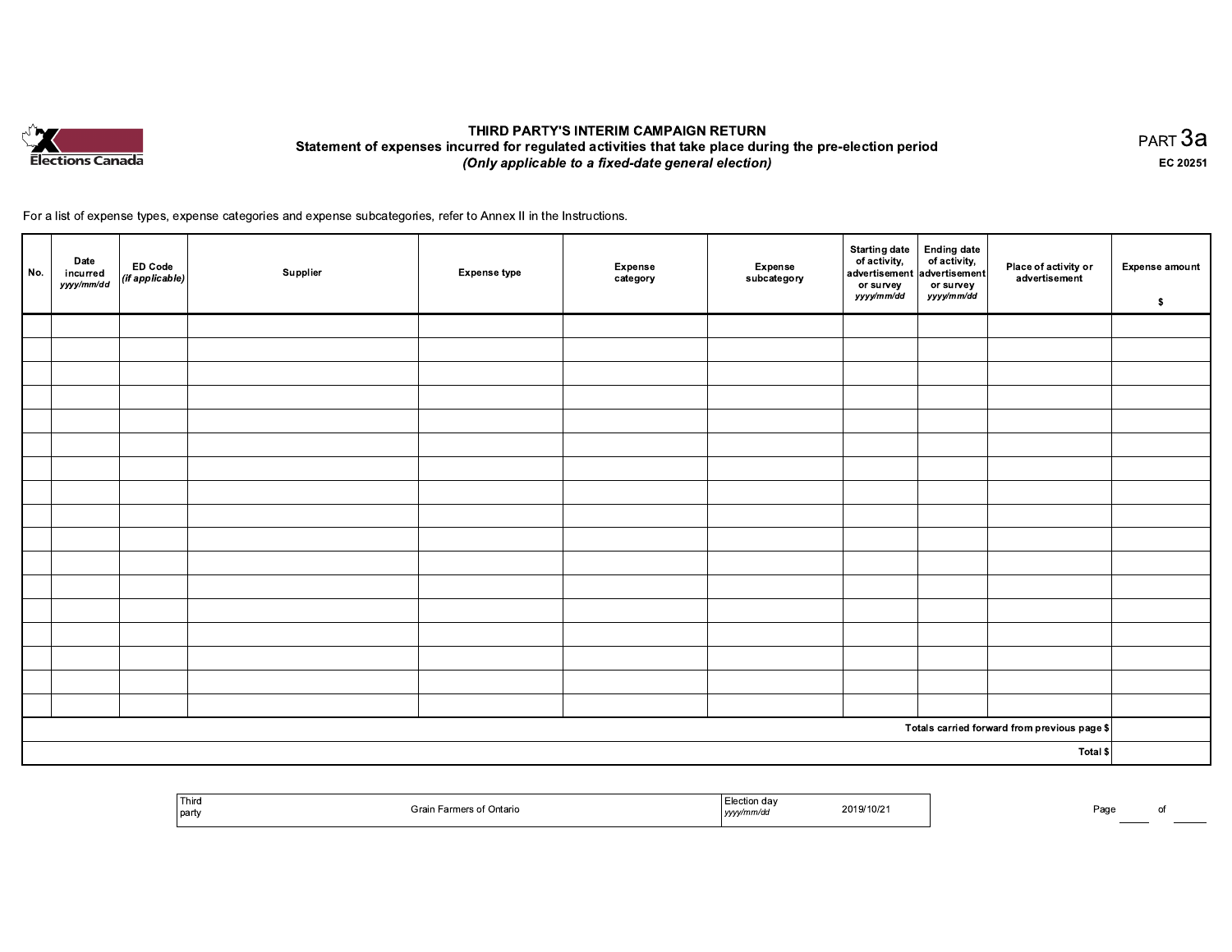

## THIRD PARTY'S INTERIM CAMPAIGN RETURN Statement of expenses incurred for regulated activities that take place during the pre-election period (Only applicable to a fixed-date general election)

PART 3a EC 20251

For a list of expense types, expense categories and expense subcategories, refer to Annex II in the Instructions.

| No. | Date<br>incurred<br>yyyy/mm/dd | $\begin{array}{ c c }\n\hline\n\text{ED Code} \\ \text{(if applicable)}\n\end{array}$ | Supplier | <b>Expense type</b> | Expense<br>category | Expense<br>subcategory | <b>Starting date</b><br>of activity,<br>advertisement advertisement<br>or survey<br>yyyy/mm/dd | <b>Ending date</b><br>or survey<br>yyyy/mm/dd | Place of activity or<br>advertisement                   | <b>Expense amount</b><br>$\sqrt{2}$ |
|-----|--------------------------------|---------------------------------------------------------------------------------------|----------|---------------------|---------------------|------------------------|------------------------------------------------------------------------------------------------|-----------------------------------------------|---------------------------------------------------------|-------------------------------------|
|     |                                |                                                                                       |          |                     |                     |                        |                                                                                                |                                               |                                                         |                                     |
|     |                                |                                                                                       |          |                     |                     |                        |                                                                                                |                                               |                                                         |                                     |
|     |                                |                                                                                       |          |                     |                     |                        |                                                                                                |                                               |                                                         |                                     |
|     |                                |                                                                                       |          |                     |                     |                        |                                                                                                |                                               |                                                         |                                     |
|     |                                |                                                                                       |          |                     |                     |                        |                                                                                                |                                               |                                                         |                                     |
|     |                                |                                                                                       |          |                     |                     |                        |                                                                                                |                                               |                                                         |                                     |
|     |                                |                                                                                       |          |                     |                     |                        |                                                                                                |                                               |                                                         |                                     |
|     |                                |                                                                                       |          |                     |                     |                        |                                                                                                |                                               |                                                         |                                     |
|     |                                |                                                                                       |          |                     |                     |                        |                                                                                                |                                               |                                                         |                                     |
|     |                                |                                                                                       |          |                     |                     |                        |                                                                                                |                                               |                                                         |                                     |
|     |                                |                                                                                       |          |                     |                     |                        |                                                                                                |                                               |                                                         |                                     |
|     |                                |                                                                                       |          |                     |                     |                        |                                                                                                |                                               |                                                         |                                     |
|     |                                |                                                                                       |          |                     |                     |                        |                                                                                                |                                               |                                                         |                                     |
|     |                                |                                                                                       |          |                     |                     |                        |                                                                                                |                                               |                                                         |                                     |
|     |                                |                                                                                       |          |                     |                     |                        |                                                                                                |                                               |                                                         |                                     |
|     |                                |                                                                                       |          |                     |                     |                        |                                                                                                |                                               |                                                         |                                     |
|     |                                |                                                                                       |          |                     |                     |                        |                                                                                                |                                               |                                                         |                                     |
|     |                                |                                                                                       |          |                     |                     |                        |                                                                                                |                                               | Totals carried forward from previous page $\frac{1}{2}$ |                                     |
|     | Total \$                       |                                                                                       |          |                     |                     |                        |                                                                                                |                                               |                                                         |                                     |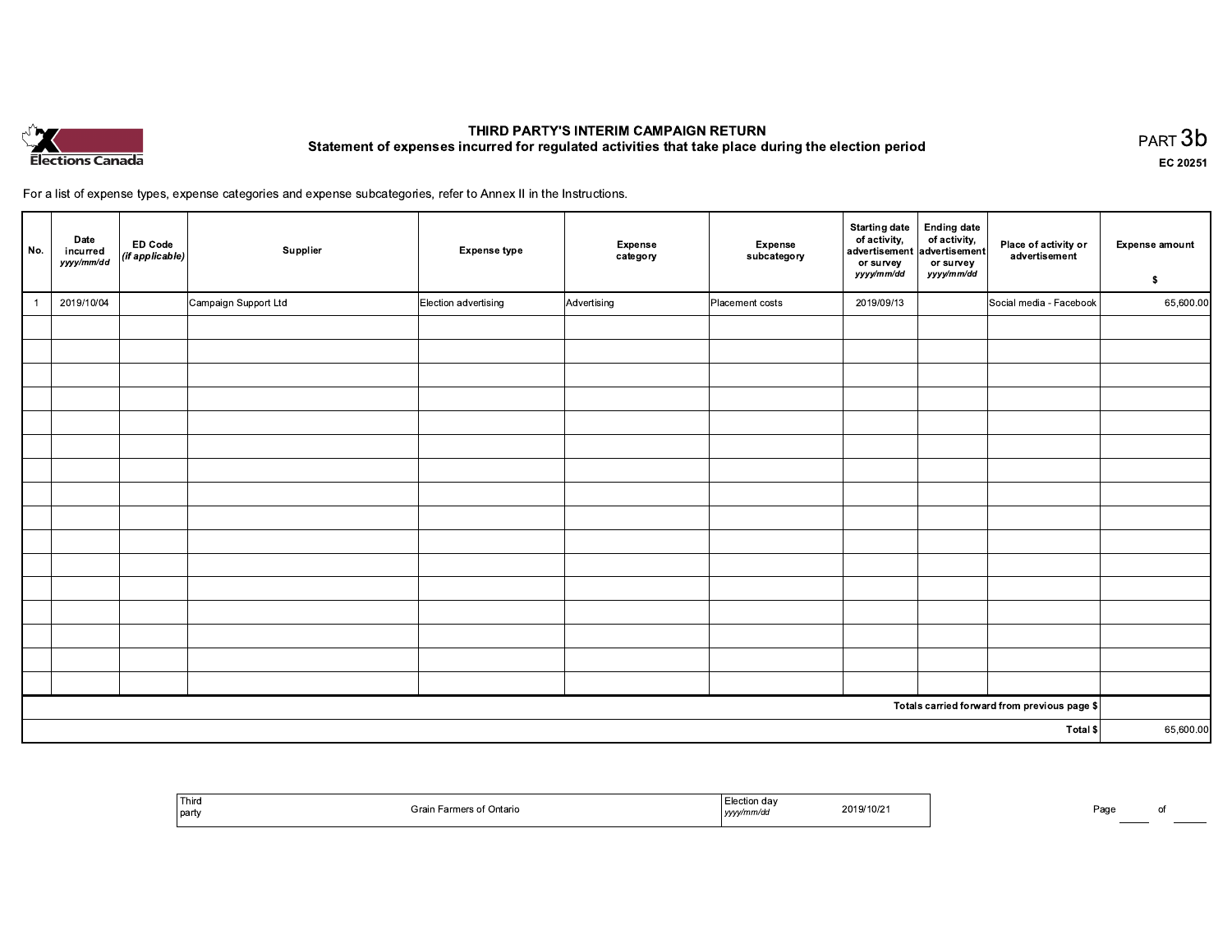

## THIRD PARTY'S INTERIM CAMPAIGN RETURN Statement of expenses incurred for regulated activities that take place during the election period

PART 3b EC 20251

For a list of expense types, expense categories and expense subcategories, refer to Annex II in the Instructions.

| No.            | Date<br>incurred<br>yyyy/mm/dd | <b>ED Code</b><br>$\vert$ (if applicable) $\vert$ | Supplier             | <b>Expense type</b>  | <b>Expense</b><br>category | Expense<br>subcategory | <b>Starting date</b><br>of activity,<br>advertisement<br>or survey<br>yyyy/mm/dd | <b>Ending date</b><br>of activity,<br>advertisement<br>or survey<br>yyyy/mm/dd | Place of activity or<br>advertisement        | <b>Expense amount</b><br>$\sim$ |
|----------------|--------------------------------|---------------------------------------------------|----------------------|----------------------|----------------------------|------------------------|----------------------------------------------------------------------------------|--------------------------------------------------------------------------------|----------------------------------------------|---------------------------------|
| $\overline{1}$ | 2019/10/04                     |                                                   | Campaign Support Ltd | Election advertising | Advertising                | Placement costs        | 2019/09/13                                                                       |                                                                                | Social media - Facebook                      | 65,600.00                       |
|                |                                |                                                   |                      |                      |                            |                        |                                                                                  |                                                                                |                                              |                                 |
|                |                                |                                                   |                      |                      |                            |                        |                                                                                  |                                                                                |                                              |                                 |
|                |                                |                                                   |                      |                      |                            |                        |                                                                                  |                                                                                |                                              |                                 |
|                |                                |                                                   |                      |                      |                            |                        |                                                                                  |                                                                                |                                              |                                 |
|                |                                |                                                   |                      |                      |                            |                        |                                                                                  |                                                                                |                                              |                                 |
|                |                                |                                                   |                      |                      |                            |                        |                                                                                  |                                                                                |                                              |                                 |
|                |                                |                                                   |                      |                      |                            |                        |                                                                                  |                                                                                |                                              |                                 |
|                |                                |                                                   |                      |                      |                            |                        |                                                                                  |                                                                                |                                              |                                 |
|                |                                |                                                   |                      |                      |                            |                        |                                                                                  |                                                                                |                                              |                                 |
|                |                                |                                                   |                      |                      |                            |                        |                                                                                  |                                                                                |                                              |                                 |
|                |                                |                                                   |                      |                      |                            |                        |                                                                                  |                                                                                |                                              |                                 |
|                |                                |                                                   |                      |                      |                            |                        |                                                                                  |                                                                                |                                              |                                 |
|                |                                |                                                   |                      |                      |                            |                        |                                                                                  |                                                                                |                                              |                                 |
|                |                                |                                                   |                      |                      |                            |                        |                                                                                  |                                                                                |                                              |                                 |
|                |                                |                                                   |                      |                      |                            |                        |                                                                                  |                                                                                |                                              |                                 |
|                |                                |                                                   |                      |                      |                            |                        |                                                                                  |                                                                                |                                              |                                 |
|                |                                |                                                   |                      |                      |                            |                        |                                                                                  |                                                                                | Totals carried forward from previous page \$ |                                 |
| Total \$       |                                |                                                   |                      |                      |                            |                        |                                                                                  | 65,600.00                                                                      |                                              |                                 |

| Third<br>  party | <sup>:</sup> Ontario | 'ection ⊾<br>$A^{\sim}$<br>2019/10/2<br>. | Бο.<br>aur<br>____<br>______ |
|------------------|----------------------|-------------------------------------------|------------------------------|
|------------------|----------------------|-------------------------------------------|------------------------------|